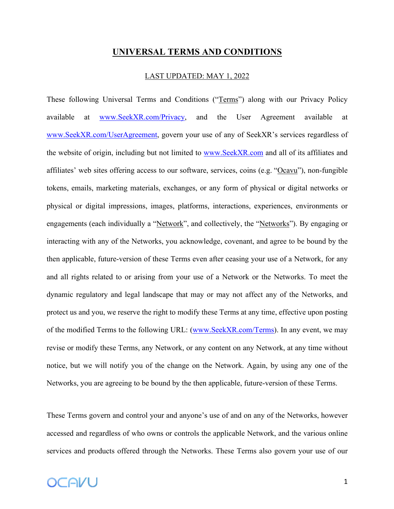### **UNIVERSAL TERMS AND CONDITIONS**

#### LAST UPDATED: MAY 1, 2022

These following Universal Terms and Conditions ("Terms") along with our Privacy Policy available at www.SeekXR.com/Privacy, and the User Agreement available at www.SeekXR.com/UserAgreement, govern your use of any of SeekXR's services regardless of the website of origin, including but not limited to www.SeekXR.com and all of its affiliates and affiliates' web sites offering access to our software, services, coins (e.g. "Ocavu"), non-fungible tokens, emails, marketing materials, exchanges, or any form of physical or digital networks or physical or digital impressions, images, platforms, interactions, experiences, environments or engagements (each individually a "Network", and collectively, the "Networks"). By engaging or interacting with any of the Networks, you acknowledge, covenant, and agree to be bound by the then applicable, future-version of these Terms even after ceasing your use of a Network, for any and all rights related to or arising from your use of a Network or the Networks. To meet the dynamic regulatory and legal landscape that may or may not affect any of the Networks, and protect us and you, we reserve the right to modify these Terms at any time, effective upon posting of the modified Terms to the following URL: (www.SeekXR.com/Terms). In any event, we may revise or modify these Terms, any Network, or any content on any Network, at any time without notice, but we will notify you of the change on the Network. Again, by using any one of the Networks, you are agreeing to be bound by the then applicable, future-version of these Terms.

These Terms govern and control your and anyone's use of and on any of the Networks, however accessed and regardless of who owns or controls the applicable Network, and the various online services and products offered through the Networks. These Terms also govern your use of our

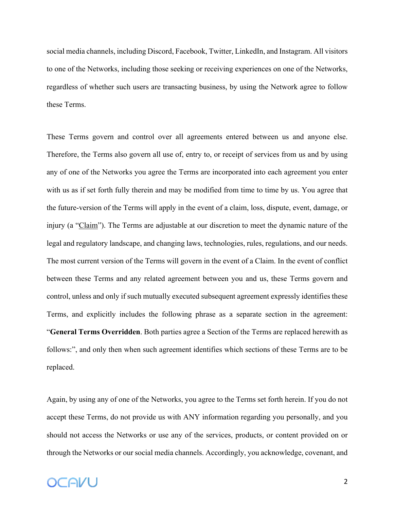social media channels, including Discord, Facebook, Twitter, LinkedIn, and Instagram. All visitors to one of the Networks, including those seeking or receiving experiences on one of the Networks, regardless of whether such users are transacting business, by using the Network agree to follow these Terms.

These Terms govern and control over all agreements entered between us and anyone else. Therefore, the Terms also govern all use of, entry to, or receipt of services from us and by using any of one of the Networks you agree the Terms are incorporated into each agreement you enter with us as if set forth fully therein and may be modified from time to time by us. You agree that the future-version of the Terms will apply in the event of a claim, loss, dispute, event, damage, or injury (a "Claim"). The Terms are adjustable at our discretion to meet the dynamic nature of the legal and regulatory landscape, and changing laws, technologies, rules, regulations, and our needs. The most current version of the Terms will govern in the event of a Claim. In the event of conflict between these Terms and any related agreement between you and us, these Terms govern and control, unless and only if such mutually executed subsequent agreement expressly identifies these Terms, and explicitly includes the following phrase as a separate section in the agreement: "**General Terms Overridden**. Both parties agree a Section of the Terms are replaced herewith as follows:", and only then when such agreement identifies which sections of these Terms are to be replaced.

Again, by using any of one of the Networks, you agree to the Terms set forth herein. If you do not accept these Terms, do not provide us with ANY information regarding you personally, and you should not access the Networks or use any of the services, products, or content provided on or through the Networks or our social media channels. Accordingly, you acknowledge, covenant, and

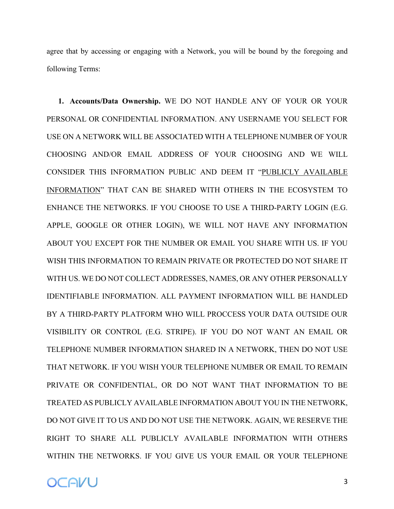agree that by accessing or engaging with a Network, you will be bound by the foregoing and following Terms:

**1. Accounts/Data Ownership.** WE DO NOT HANDLE ANY OF YOUR OR YOUR PERSONAL OR CONFIDENTIAL INFORMATION. ANY USERNAME YOU SELECT FOR USE ON A NETWORK WILL BE ASSOCIATED WITH A TELEPHONE NUMBER OF YOUR CHOOSING AND/OR EMAIL ADDRESS OF YOUR CHOOSING AND WE WILL CONSIDER THIS INFORMATION PUBLIC AND DEEM IT "PUBLICLY AVAILABLE INFORMATION" THAT CAN BE SHARED WITH OTHERS IN THE ECOSYSTEM TO ENHANCE THE NETWORKS. IF YOU CHOOSE TO USE A THIRD-PARTY LOGIN (E.G. APPLE, GOOGLE OR OTHER LOGIN), WE WILL NOT HAVE ANY INFORMATION ABOUT YOU EXCEPT FOR THE NUMBER OR EMAIL YOU SHARE WITH US. IF YOU WISH THIS INFORMATION TO REMAIN PRIVATE OR PROTECTED DO NOT SHARE IT WITH US. WE DO NOT COLLECT ADDRESSES, NAMES, OR ANY OTHER PERSONALLY IDENTIFIABLE INFORMATION. ALL PAYMENT INFORMATION WILL BE HANDLED BY A THIRD-PARTY PLATFORM WHO WILL PROCCESS YOUR DATA OUTSIDE OUR VISIBILITY OR CONTROL (E.G. STRIPE). IF YOU DO NOT WANT AN EMAIL OR TELEPHONE NUMBER INFORMATION SHARED IN A NETWORK, THEN DO NOT USE THAT NETWORK. IF YOU WISH YOUR TELEPHONE NUMBER OR EMAIL TO REMAIN PRIVATE OR CONFIDENTIAL, OR DO NOT WANT THAT INFORMATION TO BE TREATED AS PUBLICLY AVAILABLE INFORMATION ABOUT YOU IN THE NETWORK, DO NOT GIVE IT TO US AND DO NOT USE THE NETWORK. AGAIN, WE RESERVE THE RIGHT TO SHARE ALL PUBLICLY AVAILABLE INFORMATION WITH OTHERS WITHIN THE NETWORKS. IF YOU GIVE US YOUR EMAIL OR YOUR TELEPHONE

**OCAVU**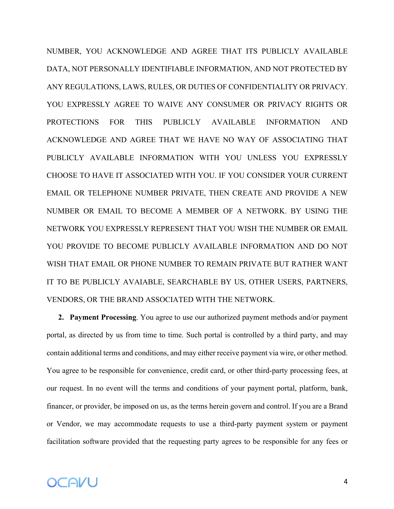NUMBER, YOU ACKNOWLEDGE AND AGREE THAT ITS PUBLICLY AVAILABLE DATA, NOT PERSONALLY IDENTIFIABLE INFORMATION, AND NOT PROTECTED BY ANY REGULATIONS, LAWS, RULES, OR DUTIES OF CONFIDENTIALITY OR PRIVACY. YOU EXPRESSLY AGREE TO WAIVE ANY CONSUMER OR PRIVACY RIGHTS OR PROTECTIONS FOR THIS PUBLICLY AVAILABLE INFORMATION AND ACKNOWLEDGE AND AGREE THAT WE HAVE NO WAY OF ASSOCIATING THAT PUBLICLY AVAILABLE INFORMATION WITH YOU UNLESS YOU EXPRESSLY CHOOSE TO HAVE IT ASSOCIATED WITH YOU. IF YOU CONSIDER YOUR CURRENT EMAIL OR TELEPHONE NUMBER PRIVATE, THEN CREATE AND PROVIDE A NEW NUMBER OR EMAIL TO BECOME A MEMBER OF A NETWORK. BY USING THE NETWORK YOU EXPRESSLY REPRESENT THAT YOU WISH THE NUMBER OR EMAIL YOU PROVIDE TO BECOME PUBLICLY AVAILABLE INFORMATION AND DO NOT WISH THAT EMAIL OR PHONE NUMBER TO REMAIN PRIVATE BUT RATHER WANT IT TO BE PUBLICLY AVAIABLE, SEARCHABLE BY US, OTHER USERS, PARTNERS, VENDORS, OR THE BRAND ASSOCIATED WITH THE NETWORK.

**2. Payment Processing**. You agree to use our authorized payment methods and/or payment portal, as directed by us from time to time. Such portal is controlled by a third party, and may contain additional terms and conditions, and may either receive payment via wire, or other method. You agree to be responsible for convenience, credit card, or other third-party processing fees, at our request. In no event will the terms and conditions of your payment portal, platform, bank, financer, or provider, be imposed on us, as the terms herein govern and control. If you are a Brand or Vendor, we may accommodate requests to use a third-party payment system or payment facilitation software provided that the requesting party agrees to be responsible for any fees or

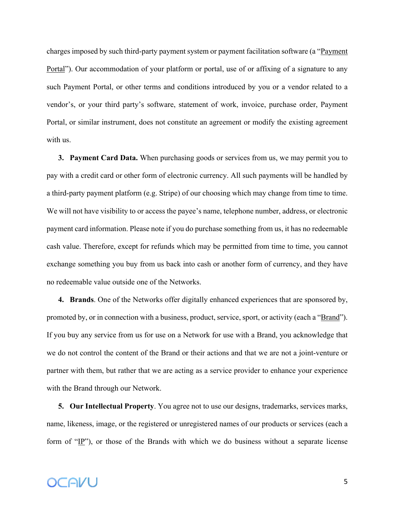charges imposed by such third-party payment system or payment facilitation software (a "Payment" Portal"). Our accommodation of your platform or portal, use of or affixing of a signature to any such Payment Portal, or other terms and conditions introduced by you or a vendor related to a vendor's, or your third party's software, statement of work, invoice, purchase order, Payment Portal, or similar instrument, does not constitute an agreement or modify the existing agreement with us.

**3. Payment Card Data.** When purchasing goods or services from us, we may permit you to pay with a credit card or other form of electronic currency. All such payments will be handled by a third-party payment platform (e.g. Stripe) of our choosing which may change from time to time. We will not have visibility to or access the payee's name, telephone number, address, or electronic payment card information. Please note if you do purchase something from us, it has no redeemable cash value. Therefore, except for refunds which may be permitted from time to time, you cannot exchange something you buy from us back into cash or another form of currency, and they have no redeemable value outside one of the Networks.

**4. Brands**. One of the Networks offer digitally enhanced experiences that are sponsored by, promoted by, or in connection with a business, product, service, sport, or activity (each a "Brand"). If you buy any service from us for use on a Network for use with a Brand, you acknowledge that we do not control the content of the Brand or their actions and that we are not a joint-venture or partner with them, but rather that we are acting as a service provider to enhance your experience with the Brand through our Network.

**5. Our Intellectual Property**. You agree not to use our designs, trademarks, services marks, name, likeness, image, or the registered or unregistered names of our products or services (each a form of " $\underline{IP}$ "), or those of the Brands with which we do business without a separate license

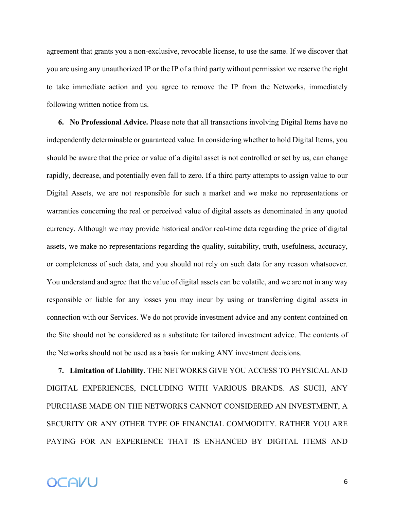agreement that grants you a non-exclusive, revocable license, to use the same. If we discover that you are using any unauthorized IP or the IP of a third party without permission we reserve the right to take immediate action and you agree to remove the IP from the Networks, immediately following written notice from us.

**6. No Professional Advice.** Please note that all transactions involving Digital Items have no independently determinable or guaranteed value. In considering whether to hold Digital Items, you should be aware that the price or value of a digital asset is not controlled or set by us, can change rapidly, decrease, and potentially even fall to zero. If a third party attempts to assign value to our Digital Assets, we are not responsible for such a market and we make no representations or warranties concerning the real or perceived value of digital assets as denominated in any quoted currency. Although we may provide historical and/or real-time data regarding the price of digital assets, we make no representations regarding the quality, suitability, truth, usefulness, accuracy, or completeness of such data, and you should not rely on such data for any reason whatsoever. You understand and agree that the value of digital assets can be volatile, and we are not in any way responsible or liable for any losses you may incur by using or transferring digital assets in connection with our Services. We do not provide investment advice and any content contained on the Site should not be considered as a substitute for tailored investment advice. The contents of the Networks should not be used as a basis for making ANY investment decisions.

**7. Limitation of Liability**. THE NETWORKS GIVE YOU ACCESS TO PHYSICAL AND DIGITAL EXPERIENCES, INCLUDING WITH VARIOUS BRANDS. AS SUCH, ANY PURCHASE MADE ON THE NETWORKS CANNOT CONSIDERED AN INVESTMENT, A SECURITY OR ANY OTHER TYPE OF FINANCIAL COMMODITY. RATHER YOU ARE PAYING FOR AN EXPERIENCE THAT IS ENHANCED BY DIGITAL ITEMS AND

# OCAVU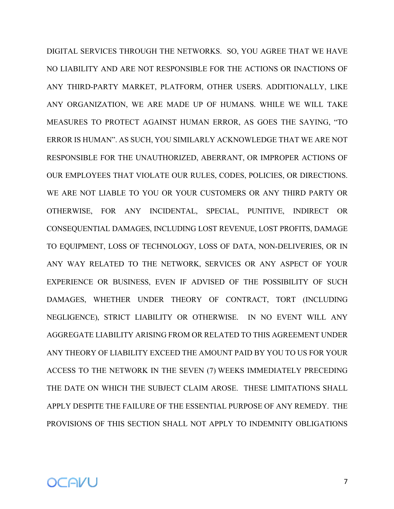DIGITAL SERVICES THROUGH THE NETWORKS. SO, YOU AGREE THAT WE HAVE NO LIABILITY AND ARE NOT RESPONSIBLE FOR THE ACTIONS OR INACTIONS OF ANY THIRD-PARTY MARKET, PLATFORM, OTHER USERS. ADDITIONALLY, LIKE ANY ORGANIZATION, WE ARE MADE UP OF HUMANS. WHILE WE WILL TAKE MEASURES TO PROTECT AGAINST HUMAN ERROR, AS GOES THE SAYING, "TO ERROR IS HUMAN". AS SUCH, YOU SIMILARLY ACKNOWLEDGE THAT WE ARE NOT RESPONSIBLE FOR THE UNAUTHORIZED, ABERRANT, OR IMPROPER ACTIONS OF OUR EMPLOYEES THAT VIOLATE OUR RULES, CODES, POLICIES, OR DIRECTIONS. WE ARE NOT LIABLE TO YOU OR YOUR CUSTOMERS OR ANY THIRD PARTY OR OTHERWISE, FOR ANY INCIDENTAL, SPECIAL, PUNITIVE, INDIRECT OR CONSEQUENTIAL DAMAGES, INCLUDING LOST REVENUE, LOST PROFITS, DAMAGE TO EQUIPMENT, LOSS OF TECHNOLOGY, LOSS OF DATA, NON-DELIVERIES, OR IN ANY WAY RELATED TO THE NETWORK, SERVICES OR ANY ASPECT OF YOUR EXPERIENCE OR BUSINESS, EVEN IF ADVISED OF THE POSSIBILITY OF SUCH DAMAGES, WHETHER UNDER THEORY OF CONTRACT, TORT (INCLUDING NEGLIGENCE), STRICT LIABILITY OR OTHERWISE. IN NO EVENT WILL ANY AGGREGATE LIABILITY ARISING FROM OR RELATED TO THIS AGREEMENT UNDER ANY THEORY OF LIABILITY EXCEED THE AMOUNT PAID BY YOU TO US FOR YOUR ACCESS TO THE NETWORK IN THE SEVEN (7) WEEKS IMMEDIATELY PRECEDING THE DATE ON WHICH THE SUBJECT CLAIM AROSE. THESE LIMITATIONS SHALL APPLY DESPITE THE FAILURE OF THE ESSENTIAL PURPOSE OF ANY REMEDY. THE PROVISIONS OF THIS SECTION SHALL NOT APPLY TO INDEMNITY OBLIGATIONS

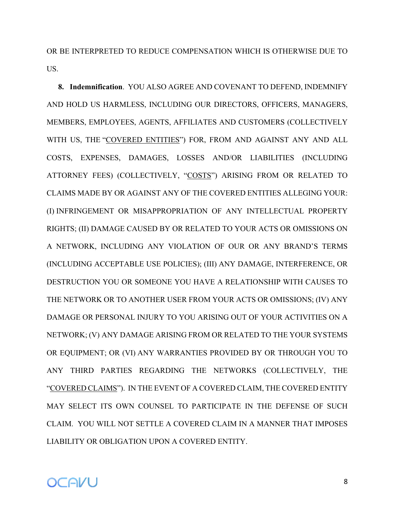OR BE INTERPRETED TO REDUCE COMPENSATION WHICH IS OTHERWISE DUE TO US.

**8. Indemnification**. YOU ALSO AGREE AND COVENANT TO DEFEND, INDEMNIFY AND HOLD US HARMLESS, INCLUDING OUR DIRECTORS, OFFICERS, MANAGERS, MEMBERS, EMPLOYEES, AGENTS, AFFILIATES AND CUSTOMERS (COLLECTIVELY WITH US, THE "COVERED ENTITIES") FOR, FROM AND AGAINST ANY AND ALL COSTS, EXPENSES, DAMAGES, LOSSES AND/OR LIABILITIES (INCLUDING ATTORNEY FEES) (COLLECTIVELY, "COSTS") ARISING FROM OR RELATED TO CLAIMS MADE BY OR AGAINST ANY OF THE COVERED ENTITIES ALLEGING YOUR: (I) INFRINGEMENT OR MISAPPROPRIATION OF ANY INTELLECTUAL PROPERTY RIGHTS; (II) DAMAGE CAUSED BY OR RELATED TO YOUR ACTS OR OMISSIONS ON A NETWORK, INCLUDING ANY VIOLATION OF OUR OR ANY BRAND'S TERMS (INCLUDING ACCEPTABLE USE POLICIES); (III) ANY DAMAGE, INTERFERENCE, OR DESTRUCTION YOU OR SOMEONE YOU HAVE A RELATIONSHIP WITH CAUSES TO THE NETWORK OR TO ANOTHER USER FROM YOUR ACTS OR OMISSIONS; (IV) ANY DAMAGE OR PERSONAL INJURY TO YOU ARISING OUT OF YOUR ACTIVITIES ON A NETWORK; (V) ANY DAMAGE ARISING FROM OR RELATED TO THE YOUR SYSTEMS OR EQUIPMENT; OR (VI) ANY WARRANTIES PROVIDED BY OR THROUGH YOU TO ANY THIRD PARTIES REGARDING THE NETWORKS (COLLECTIVELY, THE "COVERED CLAIMS"). IN THE EVENT OF A COVERED CLAIM, THE COVERED ENTITY MAY SELECT ITS OWN COUNSEL TO PARTICIPATE IN THE DEFENSE OF SUCH CLAIM. YOU WILL NOT SETTLE A COVERED CLAIM IN A MANNER THAT IMPOSES LIABILITY OR OBLIGATION UPON A COVERED ENTITY.

### OCAVU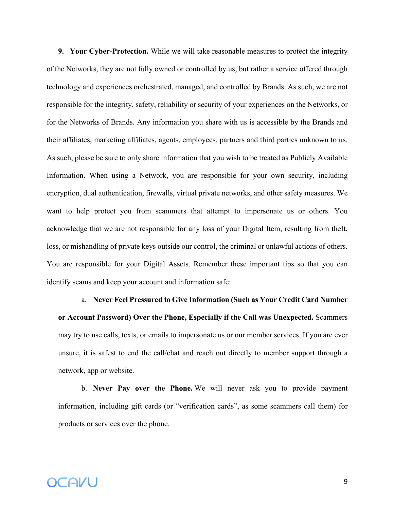**9. Your Cyber-Protection.** While we will take reasonable measures to protect the integrity of the Networks, they are not fully owned or controlled by us, but rather a service offered through technology and experiences orchestrated, managed, and controlled by Brands. As such, we are not responsible for the integrity, safety, reliability or security of your experiences on the Networks, or for the Networks of Brands. Any information you share with us is accessible by the Brands and their affiliates, marketing affiliates, agents, employees, partners and third parties unknown to us. As such, please be sure to only share information that you wish to be treated as Publicly Available Information. When using a Network, you are responsible for your own security, including encryption, dual authentication, firewalls, virtual private networks, and other safety measures. We want to help protect you from scammers that attempt to impersonate us or others. You acknowledge that we are not responsible for any loss of your Digital Item, resulting from theft, loss, or mishandling of private keys outside our control, the criminal or unlawful actions of others. You are responsible for your Digital Assets. Remember these important tips so that you can identify scams and keep your account and information safe:

# a. **Never Feel Pressured to Give Information (Such as Your Credit Card Number or Account Password) Over the Phone, Especially if the Call was Unexpected.** Scammers may try to use calls, texts, or emails to impersonate us or our member services. If you are ever unsure, it is safest to end the call/chat and reach out directly to member support through a network, app or website.

b. **Never Pay over the Phone.** We will never ask you to provide payment information, including gift cards (or "verification cards", as some scammers call them) for products or services over the phone.

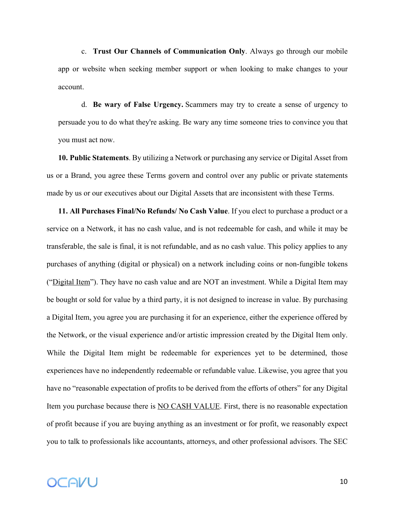c. **Trust Our Channels of Communication Only**. Always go through our mobile app or website when seeking member support or when looking to make changes to your account.

d. **Be wary of False Urgency.** Scammers may try to create a sense of urgency to persuade you to do what they're asking. Be wary any time someone tries to convince you that you must act now.

**10. Public Statements**. By utilizing a Network or purchasing any service or Digital Asset from us or a Brand, you agree these Terms govern and control over any public or private statements made by us or our executives about our Digital Assets that are inconsistent with these Terms.

**11. All Purchases Final/No Refunds/ No Cash Value**. If you elect to purchase a product or a service on a Network, it has no cash value, and is not redeemable for cash, and while it may be transferable, the sale is final, it is not refundable, and as no cash value. This policy applies to any purchases of anything (digital or physical) on a network including coins or non-fungible tokens ("Digital Item"). They have no cash value and are NOT an investment. While a Digital Item may be bought or sold for value by a third party, it is not designed to increase in value. By purchasing a Digital Item, you agree you are purchasing it for an experience, either the experience offered by the Network, or the visual experience and/or artistic impression created by the Digital Item only. While the Digital Item might be redeemable for experiences yet to be determined, those experiences have no independently redeemable or refundable value. Likewise, you agree that you have no "reasonable expectation of profits to be derived from the efforts of others" for any Digital Item you purchase because there is NO CASH VALUE. First, there is no reasonable expectation of profit because if you are buying anything as an investment or for profit, we reasonably expect you to talk to professionals like accountants, attorneys, and other professional advisors. The SEC

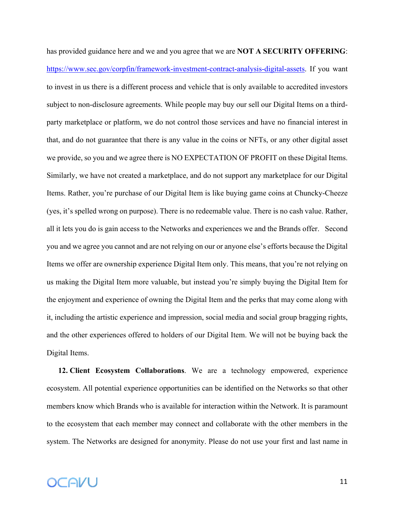has provided guidance here and we and you agree that we are **NOT A SECURITY OFFERING**: https://www.sec.gov/corpfin/framework-investment-contract-analysis-digital-assets. If you want to invest in us there is a different process and vehicle that is only available to accredited investors subject to non-disclosure agreements. While people may buy our sell our Digital Items on a thirdparty marketplace or platform, we do not control those services and have no financial interest in that, and do not guarantee that there is any value in the coins or NFTs, or any other digital asset we provide, so you and we agree there is NO EXPECTATION OF PROFIT on these Digital Items. Similarly, we have not created a marketplace, and do not support any marketplace for our Digital Items. Rather, you're purchase of our Digital Item is like buying game coins at Chuncky-Cheeze (yes, it's spelled wrong on purpose). There is no redeemable value. There is no cash value. Rather, all it lets you do is gain access to the Networks and experiences we and the Brands offer. Second you and we agree you cannot and are not relying on our or anyone else's efforts because the Digital Items we offer are ownership experience Digital Item only. This means, that you're not relying on us making the Digital Item more valuable, but instead you're simply buying the Digital Item for the enjoyment and experience of owning the Digital Item and the perks that may come along with it, including the artistic experience and impression, social media and social group bragging rights, and the other experiences offered to holders of our Digital Item. We will not be buying back the Digital Items.

**12. Client Ecosystem Collaborations**. We are a technology empowered, experience ecosystem. All potential experience opportunities can be identified on the Networks so that other members know which Brands who is available for interaction within the Network. It is paramount to the ecosystem that each member may connect and collaborate with the other members in the system. The Networks are designed for anonymity. Please do not use your first and last name in

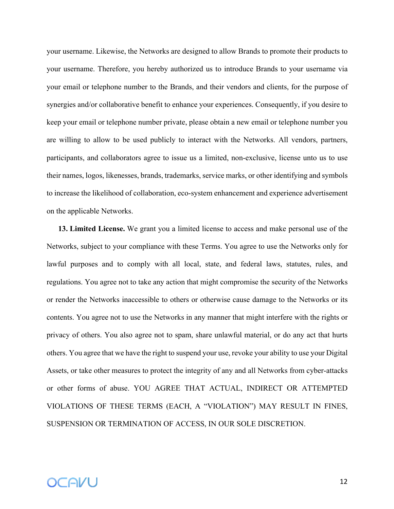your username. Likewise, the Networks are designed to allow Brands to promote their products to your username. Therefore, you hereby authorized us to introduce Brands to your username via your email or telephone number to the Brands, and their vendors and clients, for the purpose of synergies and/or collaborative benefit to enhance your experiences. Consequently, if you desire to keep your email or telephone number private, please obtain a new email or telephone number you are willing to allow to be used publicly to interact with the Networks. All vendors, partners, participants, and collaborators agree to issue us a limited, non-exclusive, license unto us to use their names, logos, likenesses, brands, trademarks, service marks, or other identifying and symbols to increase the likelihood of collaboration, eco-system enhancement and experience advertisement on the applicable Networks.

**13. Limited License.** We grant you a limited license to access and make personal use of the Networks, subject to your compliance with these Terms. You agree to use the Networks only for lawful purposes and to comply with all local, state, and federal laws, statutes, rules, and regulations. You agree not to take any action that might compromise the security of the Networks or render the Networks inaccessible to others or otherwise cause damage to the Networks or its contents. You agree not to use the Networks in any manner that might interfere with the rights or privacy of others. You also agree not to spam, share unlawful material, or do any act that hurts others. You agree that we have the right to suspend your use, revoke your ability to use your Digital Assets, or take other measures to protect the integrity of any and all Networks from cyber-attacks or other forms of abuse. YOU AGREE THAT ACTUAL, INDIRECT OR ATTEMPTED VIOLATIONS OF THESE TERMS (EACH, A "VIOLATION") MAY RESULT IN FINES, SUSPENSION OR TERMINATION OF ACCESS, IN OUR SOLE DISCRETION.

# OCAVU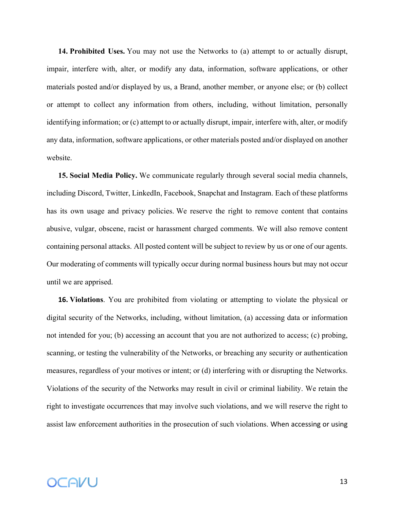**14. Prohibited Uses.** You may not use the Networks to (a) attempt to or actually disrupt, impair, interfere with, alter, or modify any data, information, software applications, or other materials posted and/or displayed by us, a Brand, another member, or anyone else; or (b) collect or attempt to collect any information from others, including, without limitation, personally identifying information; or (c) attempt to or actually disrupt, impair, interfere with, alter, or modify any data, information, software applications, or other materials posted and/or displayed on another website.

**15. Social Media Policy.** We communicate regularly through several social media channels, including Discord, Twitter, LinkedIn, Facebook, Snapchat and Instagram. Each of these platforms has its own usage and privacy policies. We reserve the right to remove content that contains abusive, vulgar, obscene, racist or harassment charged comments. We will also remove content containing personal attacks. All posted content will be subject to review by us or one of our agents. Our moderating of comments will typically occur during normal business hours but may not occur until we are apprised.

**16. Violations**. You are prohibited from violating or attempting to violate the physical or digital security of the Networks, including, without limitation, (a) accessing data or information not intended for you; (b) accessing an account that you are not authorized to access; (c) probing, scanning, or testing the vulnerability of the Networks, or breaching any security or authentication measures, regardless of your motives or intent; or (d) interfering with or disrupting the Networks. Violations of the security of the Networks may result in civil or criminal liability. We retain the right to investigate occurrences that may involve such violations, and we will reserve the right to assist law enforcement authorities in the prosecution of such violations. When accessing or using

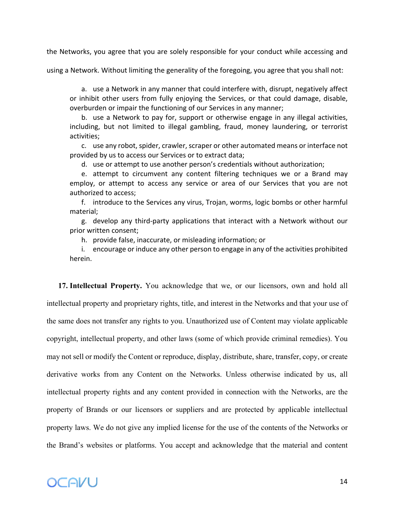the Networks, you agree that you are solely responsible for your conduct while accessing and

using a Network. Without limiting the generality of the foregoing, you agree that you shall not:

a. use a Network in any manner that could interfere with, disrupt, negatively affect or inhibit other users from fully enjoying the Services, or that could damage, disable, overburden or impair the functioning of our Services in any manner;

b. use a Network to pay for, support or otherwise engage in any illegal activities, including, but not limited to illegal gambling, fraud, money laundering, or terrorist activities;

c. use any robot, spider, crawler, scraper or other automated means or interface not provided by us to access our Services or to extract data;

d. use or attempt to use another person's credentials without authorization;

e. attempt to circumvent any content filtering techniques we or a Brand may employ, or attempt to access any service or area of our Services that you are not authorized to access;

f. introduce to the Services any virus, Trojan, worms, logic bombs or other harmful material;

g. develop any third-party applications that interact with a Network without our prior written consent;

h. provide false, inaccurate, or misleading information; or

i. encourage or induce any other person to engage in any of the activities prohibited herein.

**17. Intellectual Property.** You acknowledge that we, or our licensors, own and hold all intellectual property and proprietary rights, title, and interest in the Networks and that your use of the same does not transfer any rights to you. Unauthorized use of Content may violate applicable copyright, intellectual property, and other laws (some of which provide criminal remedies). You may not sell or modify the Content or reproduce, display, distribute, share, transfer, copy, or create derivative works from any Content on the Networks. Unless otherwise indicated by us, all intellectual property rights and any content provided in connection with the Networks, are the property of Brands or our licensors or suppliers and are protected by applicable intellectual property laws. We do not give any implied license for the use of the contents of the Networks or the Brand's websites or platforms. You accept and acknowledge that the material and content

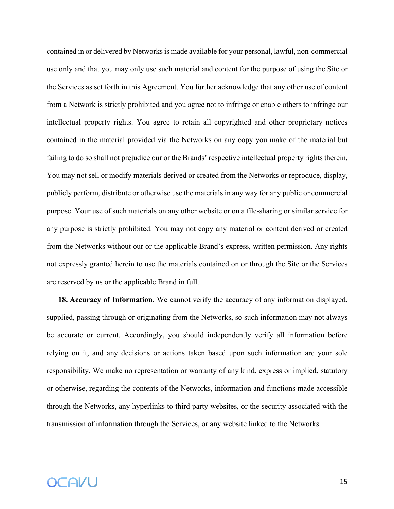contained in or delivered by Networks is made available for your personal, lawful, non-commercial use only and that you may only use such material and content for the purpose of using the Site or the Services as set forth in this Agreement. You further acknowledge that any other use of content from a Network is strictly prohibited and you agree not to infringe or enable others to infringe our intellectual property rights. You agree to retain all copyrighted and other proprietary notices contained in the material provided via the Networks on any copy you make of the material but failing to do so shall not prejudice our or the Brands' respective intellectual property rights therein. You may not sell or modify materials derived or created from the Networks or reproduce, display, publicly perform, distribute or otherwise use the materials in any way for any public or commercial purpose. Your use of such materials on any other website or on a file-sharing or similar service for any purpose is strictly prohibited. You may not copy any material or content derived or created from the Networks without our or the applicable Brand's express, written permission. Any rights not expressly granted herein to use the materials contained on or through the Site or the Services are reserved by us or the applicable Brand in full.

**18. Accuracy of Information.** We cannot verify the accuracy of any information displayed, supplied, passing through or originating from the Networks, so such information may not always be accurate or current. Accordingly, you should independently verify all information before relying on it, and any decisions or actions taken based upon such information are your sole responsibility. We make no representation or warranty of any kind, express or implied, statutory or otherwise, regarding the contents of the Networks, information and functions made accessible through the Networks, any hyperlinks to third party websites, or the security associated with the transmission of information through the Services, or any website linked to the Networks.

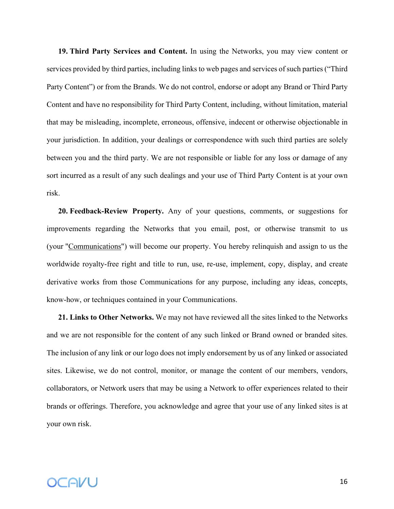**19. Third Party Services and Content.** In using the Networks, you may view content or services provided by third parties, including links to web pages and services of such parties ("Third Party Content") or from the Brands. We do not control, endorse or adopt any Brand or Third Party Content and have no responsibility for Third Party Content, including, without limitation, material that may be misleading, incomplete, erroneous, offensive, indecent or otherwise objectionable in your jurisdiction. In addition, your dealings or correspondence with such third parties are solely between you and the third party. We are not responsible or liable for any loss or damage of any sort incurred as a result of any such dealings and your use of Third Party Content is at your own risk.

**20. Feedback-Review Property.** Any of your questions, comments, or suggestions for improvements regarding the Networks that you email, post, or otherwise transmit to us (your "Communications") will become our property. You hereby relinquish and assign to us the worldwide royalty-free right and title to run, use, re-use, implement, copy, display, and create derivative works from those Communications for any purpose, including any ideas, concepts, know-how, or techniques contained in your Communications.

**21. Links to Other Networks.** We may not have reviewed all the sites linked to the Networks and we are not responsible for the content of any such linked or Brand owned or branded sites. The inclusion of any link or our logo does not imply endorsement by us of any linked or associated sites. Likewise, we do not control, monitor, or manage the content of our members, vendors, collaborators, or Network users that may be using a Network to offer experiences related to their brands or offerings. Therefore, you acknowledge and agree that your use of any linked sites is at your own risk.

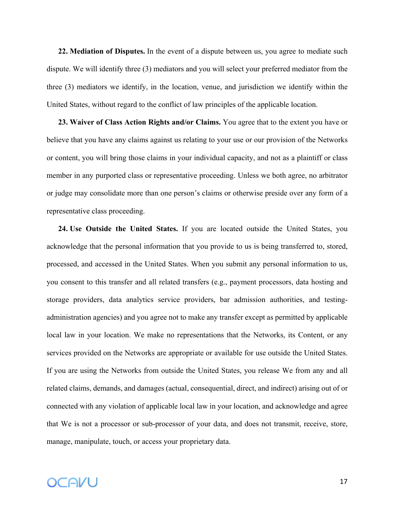**22. Mediation of Disputes.** In the event of a dispute between us, you agree to mediate such dispute. We will identify three (3) mediators and you will select your preferred mediator from the three (3) mediators we identify, in the location, venue, and jurisdiction we identify within the United States, without regard to the conflict of law principles of the applicable location.

**23. Waiver of Class Action Rights and/or Claims.** You agree that to the extent you have or believe that you have any claims against us relating to your use or our provision of the Networks or content, you will bring those claims in your individual capacity, and not as a plaintiff or class member in any purported class or representative proceeding. Unless we both agree, no arbitrator or judge may consolidate more than one person's claims or otherwise preside over any form of a representative class proceeding.

**24. Use Outside the United States.** If you are located outside the United States, you acknowledge that the personal information that you provide to us is being transferred to, stored, processed, and accessed in the United States. When you submit any personal information to us, you consent to this transfer and all related transfers (e.g., payment processors, data hosting and storage providers, data analytics service providers, bar admission authorities, and testingadministration agencies) and you agree not to make any transfer except as permitted by applicable local law in your location. We make no representations that the Networks, its Content, or any services provided on the Networks are appropriate or available for use outside the United States. If you are using the Networks from outside the United States, you release We from any and all related claims, demands, and damages (actual, consequential, direct, and indirect) arising out of or connected with any violation of applicable local law in your location, and acknowledge and agree that We is not a processor or sub-processor of your data, and does not transmit, receive, store, manage, manipulate, touch, or access your proprietary data.

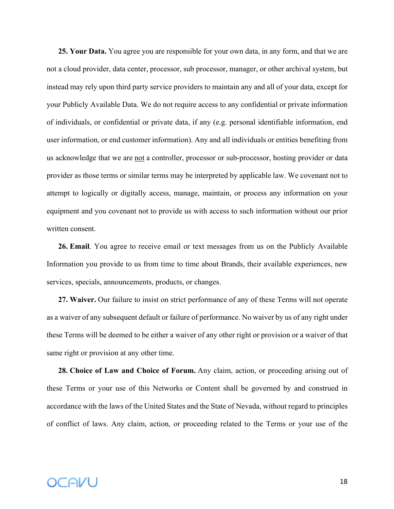**25. Your Data.** You agree you are responsible for your own data, in any form, and that we are not a cloud provider, data center, processor, sub processor, manager, or other archival system, but instead may rely upon third party service providers to maintain any and all of your data, except for your Publicly Available Data. We do not require access to any confidential or private information of individuals, or confidential or private data, if any (e.g. personal identifiable information, end user information, or end customer information). Any and all individuals or entities benefiting from us acknowledge that we are not a controller, processor or sub-processor, hosting provider or data provider as those terms or similar terms may be interpreted by applicable law. We covenant not to attempt to logically or digitally access, manage, maintain, or process any information on your equipment and you covenant not to provide us with access to such information without our prior written consent.

**26. Email**. You agree to receive email or text messages from us on the Publicly Available Information you provide to us from time to time about Brands, their available experiences, new services, specials, announcements, products, or changes.

**27. Waiver.** Our failure to insist on strict performance of any of these Terms will not operate as a waiver of any subsequent default or failure of performance. No waiver by us of any right under these Terms will be deemed to be either a waiver of any other right or provision or a waiver of that same right or provision at any other time.

**28. Choice of Law and Choice of Forum.** Any claim, action, or proceeding arising out of these Terms or your use of this Networks or Content shall be governed by and construed in accordance with the laws of the United States and the State of Nevada, without regard to principles of conflict of laws. Any claim, action, or proceeding related to the Terms or your use of the

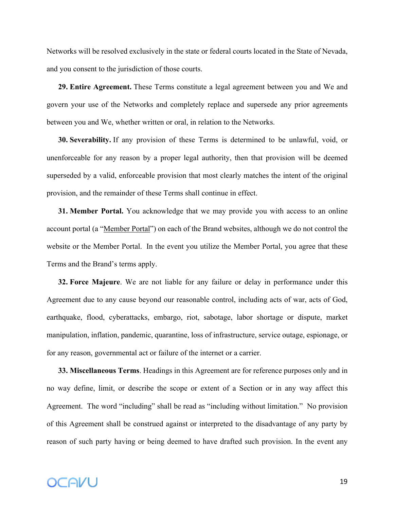Networks will be resolved exclusively in the state or federal courts located in the State of Nevada, and you consent to the jurisdiction of those courts.

**29. Entire Agreement.** These Terms constitute a legal agreement between you and We and govern your use of the Networks and completely replace and supersede any prior agreements between you and We, whether written or oral, in relation to the Networks.

**30. Severability.** If any provision of these Terms is determined to be unlawful, void, or unenforceable for any reason by a proper legal authority, then that provision will be deemed superseded by a valid, enforceable provision that most clearly matches the intent of the original provision, and the remainder of these Terms shall continue in effect.

**31. Member Portal.** You acknowledge that we may provide you with access to an online account portal (a "Member Portal") on each of the Brand websites, although we do not control the website or the Member Portal. In the event you utilize the Member Portal, you agree that these Terms and the Brand's terms apply.

**32. Force Majeure**. We are not liable for any failure or delay in performance under this Agreement due to any cause beyond our reasonable control, including acts of war, acts of God, earthquake, flood, cyberattacks, embargo, riot, sabotage, labor shortage or dispute, market manipulation, inflation, pandemic, quarantine, loss of infrastructure, service outage, espionage, or for any reason, governmental act or failure of the internet or a carrier.

**33. Miscellaneous Terms**. Headings in this Agreement are for reference purposes only and in no way define, limit, or describe the scope or extent of a Section or in any way affect this Agreement. The word "including" shall be read as "including without limitation." No provision of this Agreement shall be construed against or interpreted to the disadvantage of any party by reason of such party having or being deemed to have drafted such provision. In the event any